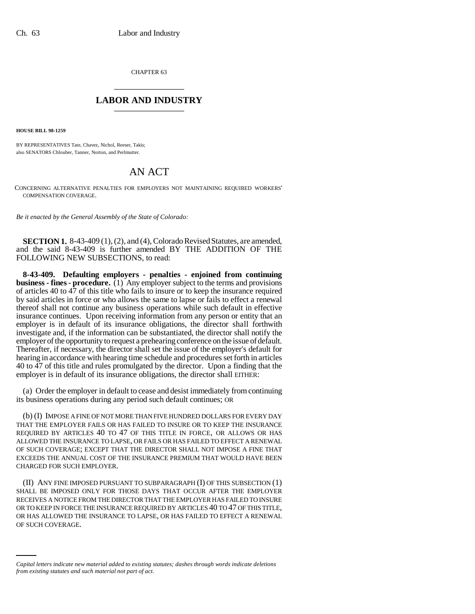CHAPTER 63 \_\_\_\_\_\_\_\_\_\_\_\_\_\_\_

## **LABOR AND INDUSTRY** \_\_\_\_\_\_\_\_\_\_\_\_\_\_\_

**HOUSE BILL 98-1259**

BY REPRESENTATIVES Tate, Chavez, Nichol, Reeser, Takis; also SENATORS Chlouber, Tanner, Norton, and Perlmutter.

## AN ACT

CONCERNING ALTERNATIVE PENALTIES FOR EMPLOYERS NOT MAINTAINING REQUIRED WORKERS' COMPENSATION COVERAGE.

*Be it enacted by the General Assembly of the State of Colorado:*

**SECTION 1.** 8-43-409 (1), (2), and (4), Colorado Revised Statutes, are amended, and the said 8-43-409 is further amended BY THE ADDITION OF THE FOLLOWING NEW SUBSECTIONS, to read:

**8-43-409. Defaulting employers - penalties - enjoined from continuing business - fines - procedure.** (1) Any employer subject to the terms and provisions of articles 40 to 47 of this title who fails to insure or to keep the insurance required by said articles in force or who allows the same to lapse or fails to effect a renewal thereof shall not continue any business operations while such default in effective insurance continues. Upon receiving information from any person or entity that an employer is in default of its insurance obligations, the director shall forthwith investigate and, if the information can be substantiated, the director shall notify the employer of the opportunity to request a prehearing conference on the issue of default. Thereafter, if necessary, the director shall set the issue of the employer's default for hearing in accordance with hearing time schedule and procedures set forth in articles 40 to 47 of this title and rules promulgated by the director. Upon a finding that the employer is in default of its insurance obligations, the director shall EITHER:

(a) Order the employer in default to cease and desist immediately from continuing its business operations during any period such default continues; OR

(b) (I) IMPOSE A FINE OF NOT MORE THAN FIVE HUNDRED DOLLARS FOR EVERY DAY THAT THE EMPLOYER FAILS OR HAS FAILED TO INSURE OR TO KEEP THE INSURANCE REQUIRED BY ARTICLES 40 TO 47 OF THIS TITLE IN FORCE, OR ALLOWS OR HAS ALLOWED THE INSURANCE TO LAPSE, OR FAILS OR HAS FAILED TO EFFECT A RENEWAL OF SUCH COVERAGE; EXCEPT THAT THE DIRECTOR SHALL NOT IMPOSE A FINE THAT EXCEEDS THE ANNUAL COST OF THE INSURANCE PREMIUM THAT WOULD HAVE BEEN CHARGED FOR SUCH EMPLOYER.

OR HAS ALLOWED THE INSURANCE TO LAPSE, OR HAS FAILED TO EFFECT A RENEWAL (II) ANY FINE IMPOSED PURSUANT TO SUBPARAGRAPH (I) OF THIS SUBSECTION (1) SHALL BE IMPOSED ONLY FOR THOSE DAYS THAT OCCUR AFTER THE EMPLOYER RECEIVES A NOTICE FROM THE DIRECTOR THAT THE EMPLOYER HAS FAILED TO INSURE OR TO KEEP IN FORCE THE INSURANCE REQUIRED BY ARTICLES 40 TO 47 OF THIS TITLE, OF SUCH COVERAGE.

*Capital letters indicate new material added to existing statutes; dashes through words indicate deletions from existing statutes and such material not part of act.*